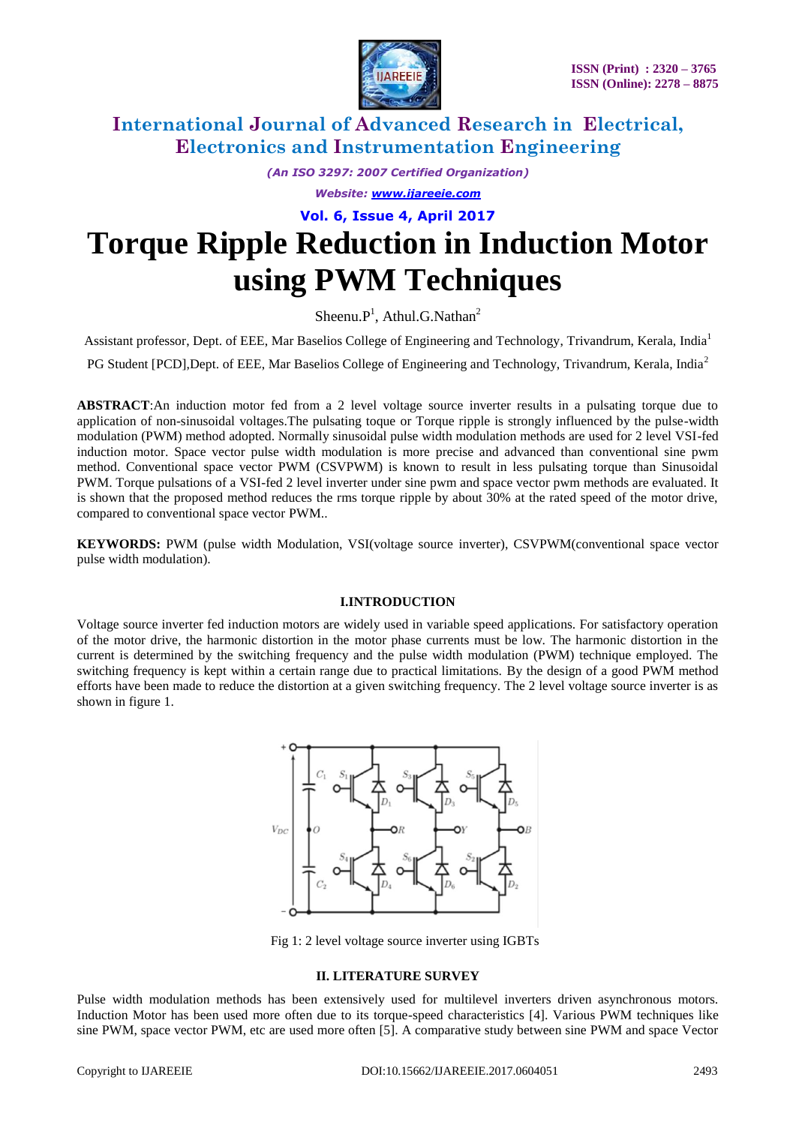

*(An ISO 3297: 2007 Certified Organization)*

*Website: [www.ijareeie.com](http://www.ijareeie.com/)*

**Vol. 6, Issue 4, April 2017**

# **Torque Ripple Reduction in Induction Motor using PWM Techniques**

Sheenu. $P<sup>1</sup>$ , Athul.G.Nathan<sup>2</sup>

Assistant professor, Dept. of EEE, Mar Baselios College of Engineering and Technology, Trivandrum, Kerala, India<sup>1</sup>

PG Student [PCD], Dept. of EEE, Mar Baselios College of Engineering and Technology, Trivandrum, Kerala, India<sup>2</sup>

**ABSTRACT**:An induction motor fed from a 2 level voltage source inverter results in a pulsating torque due to application of non-sinusoidal voltages.The pulsating toque or Torque ripple is strongly influenced by the pulse-width modulation (PWM) method adopted. Normally sinusoidal pulse width modulation methods are used for 2 level VSI-fed induction motor. Space vector pulse width modulation is more precise and advanced than conventional sine pwm method. Conventional space vector PWM (CSVPWM) is known to result in less pulsating torque than Sinusoidal PWM. Torque pulsations of a VSI-fed 2 level inverter under sine pwm and space vector pwm methods are evaluated. It is shown that the proposed method reduces the rms torque ripple by about 30% at the rated speed of the motor drive, compared to conventional space vector PWM..

**KEYWORDS:** PWM (pulse width Modulation, VSI(voltage source inverter), CSVPWM(conventional space vector pulse width modulation).

#### **I.INTRODUCTION**

Voltage source inverter fed induction motors are widely used in variable speed applications. For satisfactory operation of the motor drive, the harmonic distortion in the motor phase currents must be low. The harmonic distortion in the current is determined by the switching frequency and the pulse width modulation (PWM) technique employed. The switching frequency is kept within a certain range due to practical limitations. By the design of a good PWM method efforts have been made to reduce the distortion at a given switching frequency. The 2 level voltage source inverter is as shown in figure 1.



Fig 1: 2 level voltage source inverter using IGBTs

### **II. LITERATURE SURVEY**

Pulse width modulation methods has been extensively used for multilevel inverters driven asynchronous motors. Induction Motor has been used more often due to its torque-speed characteristics [4]. Various PWM techniques like sine PWM, space vector PWM, etc are used more often [5]. A comparative study between sine PWM and space Vector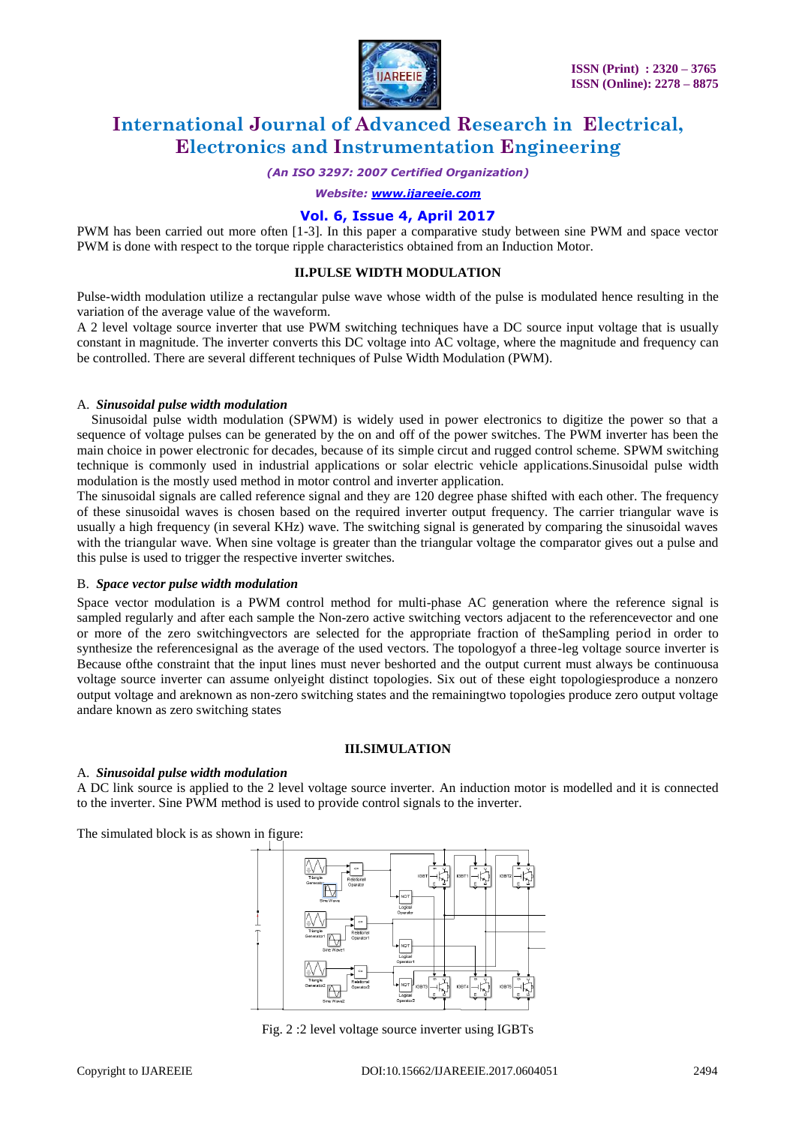

*(An ISO 3297: 2007 Certified Organization)*

*Website: [www.ijareeie.com](http://www.ijareeie.com/)*

### **Vol. 6, Issue 4, April 2017**

PWM has been carried out more often [1-3]. In this paper a comparative study between sine PWM and space vector PWM is done with respect to the torque ripple characteristics obtained from an Induction Motor.

#### **II.PULSE WIDTH MODULATION**

Pulse-width modulation utilize a rectangular pulse wave whose width of the pulse is modulated hence resulting in the variation of the average value of the waveform.

A 2 level voltage source inverter that use PWM switching techniques have a DC source input voltage that is usually constant in magnitude. The inverter converts this DC voltage into AC voltage, where the magnitude and frequency can be controlled. There are several different techniques of Pulse Width Modulation (PWM).

#### A. *Sinusoidal pulse width modulation*

Sinusoidal pulse width modulation (SPWM) is widely used in power electronics to digitize the power so that a sequence of voltage pulses can be generated by the on and off of the power switches. The PWM inverter has been the main choice in power electronic for decades, because of its simple circut and rugged control scheme. SPWM switching technique is commonly used in industrial applications or solar electric vehicle applications.Sinusoidal pulse width modulation is the mostly used method in motor control and inverter application.

The sinusoidal signals are called reference signal and they are 120 degree phase shifted with each other. The frequency of these sinusoidal waves is chosen based on the required inverter output frequency. The carrier triangular wave is usually a high frequency (in several KHz) wave. The switching signal is generated by comparing the sinusoidal waves with the triangular wave. When sine voltage is greater than the triangular voltage the comparator gives out a pulse and this pulse is used to trigger the respective inverter switches.

#### B. *Space vector pulse width modulation*

Space vector modulation is a PWM control method for multi-phase AC generation where the reference signal is sampled regularly and after each sample the Non-zero active switching vectors adjacent to the referencevector and one or more of the zero switchingvectors are selected for the appropriate fraction of theSampling period in order to synthesize the referencesignal as the average of the used vectors. The topologyof a three-leg voltage source inverter is Because ofthe constraint that the input lines must never beshorted and the output current must always be continuousa voltage source inverter can assume onlyeight distinct topologies. Six out of these eight topologiesproduce a nonzero output voltage and areknown as non-zero switching states and the remainingtwo topologies produce zero output voltage andare known as zero switching states

#### **III.SIMULATION**

#### A. *Sinusoidal pulse width modulation*

A DC link source is applied to the 2 level voltage source inverter. An induction motor is modelled and it is connected to the inverter. Sine PWM method is used to provide control signals to the inverter.

The simulated block is as shown in figure:



Fig. 2 :2 level voltage source inverter using IGBTs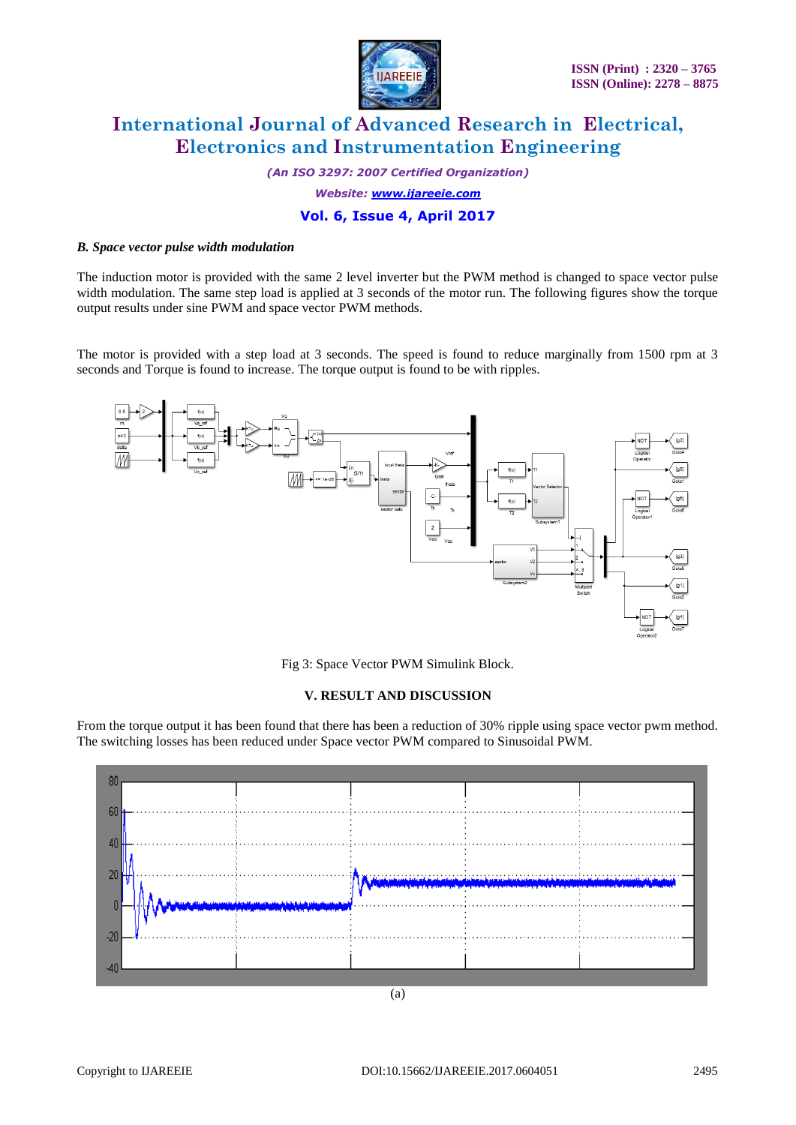

*(An ISO 3297: 2007 Certified Organization)*

*Website: [www.ijareeie.com](http://www.ijareeie.com/)*

## **Vol. 6, Issue 4, April 2017**

#### *B. Space vector pulse width modulation*

The induction motor is provided with the same 2 level inverter but the PWM method is changed to space vector pulse width modulation. The same step load is applied at 3 seconds of the motor run. The following figures show the torque output results under sine PWM and space vector PWM methods.

The motor is provided with a step load at 3 seconds. The speed is found to reduce marginally from 1500 rpm at 3 seconds and Torque is found to increase. The torque output is found to be with ripples.



Fig 3: Space Vector PWM Simulink Block.

### **V. RESULT AND DISCUSSION**

From the torque output it has been found that there has been a reduction of 30% ripple using space vector pwm method. The switching losses has been reduced under Space vector PWM compared to Sinusoidal PWM.